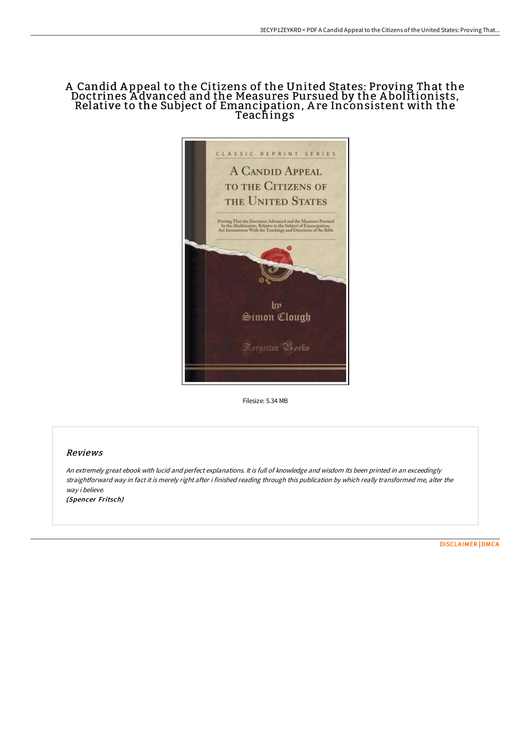## A Candid A ppeal to the Citizens of the United States: Proving That the Doctrines A dvanced and the Measures Pursued by the A bolitionists, Relative to the Subject of Emancipation, A re Inconsistent with the Teachings



Filesize: 5.34 MB

### Reviews

An extremely great ebook with lucid and perfect explanations. It is full of knowledge and wisdom Its been printed in an exceedingly straightforward way in fact it is merely right after i finished reading through this publication by which really transformed me, alter the way i believe. (Spencer Fritsch)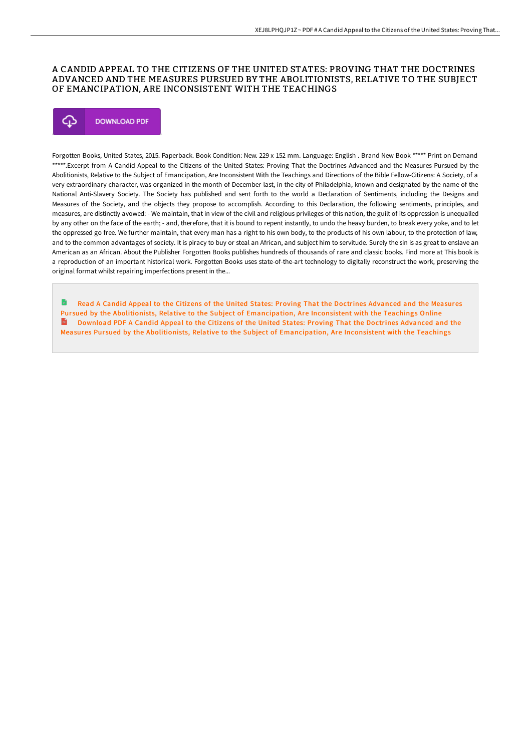### A CANDID APPEAL TO THE CITIZENS OF THE UNITED STATES: PROVING THAT THE DOCTRINES ADVANCED AND THE MEASURES PURSUED BY THE ABOLITIONISTS, RELATIVE TO THE SUBJECT OF EMANCIPATION, ARE INCONSISTENT WITH THE TEACHINGS

# **DOWNLOAD PDF** Φ

Forgotten Books, United States, 2015. Paperback. Book Condition: New. 229 x 152 mm. Language: English . Brand New Book \*\*\*\*\* Print on Demand \*\*\*\*\*.Excerpt from A Candid Appeal to the Citizens of the United States: Proving That the Doctrines Advanced and the Measures Pursued by the Abolitionists, Relative to the Subject of Emancipation, Are Inconsistent With the Teachings and Directions of the Bible Fellow-Citizens: A Society, of a very extraordinary character, was organized in the month of December last, in the city of Philadelphia, known and designated by the name of the National Anti-Slavery Society. The Society has published and sent forth to the world a Declaration of Sentiments, including the Designs and Measures of the Society, and the objects they propose to accomplish. According to this Declaration, the following sentiments, principles, and measures, are distinctly avowed: - We maintain, that in view of the civil and religious privileges of this nation, the guilt of its oppression is unequalled by any other on the face of the earth; - and, therefore, that it is bound to repent instantly, to undo the heavy burden, to break every yoke, and to let the oppressed go free. We further maintain, that every man has a right to his own body, to the products of his own labour, to the protection of law, and to the common advantages of society. It is piracy to buy or steal an African, and subject him to servitude. Surely the sin is as great to enslave an American as an African. About the Publisher Forgotten Books publishes hundreds of thousands of rare and classic books. Find more at This book is a reproduction of an important historical work. Forgotten Books uses state-of-the-art technology to digitally reconstruct the work, preserving the original format whilst repairing imperfections present in the...

Read A Candid Appeal to the Citizens of the United States: Proving That the Doctrines Advanced and the Measures Pursued by the Abolitionists, Relative to the Subject of [Emancipation,](http://digilib.live/a-candid-appeal-to-the-citizens-of-the-united-st.html) Are Inconsistent with the Teachings Online Download PDF A Candid Appeal to the Citizens of the United States: Proving That the Doctrines Advanced and the Measures Pursued by the Abolitionists, Relative to the Subject of [Emancipation,](http://digilib.live/a-candid-appeal-to-the-citizens-of-the-united-st.html) Are Inconsistent with the Teachings